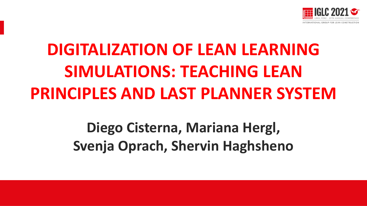

# **DIGITALIZATION OF LEAN LEARNING SIMULATIONS: TEACHING LEAN PRINCIPLES AND LAST PLANNER SYSTEM**

# **Diego Cisterna, Mariana Hergl, Svenja Oprach, Shervin Haghsheno**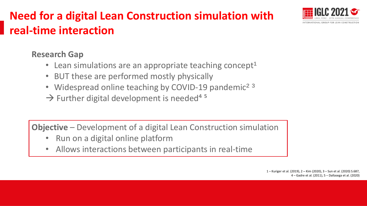

## **Need for a digital Lean Construction simulation with real-time interaction**

### **Research Gap**

- Lean simulations are an appropriate teaching concept<sup>1</sup>
- BUT these are performed mostly physically
- Widespread online teaching by COVID-19 pandemic<sup>23</sup>
- $\rightarrow$  Further digital development is needed<sup>4 5</sup>

**Objective** – Development of a digital Lean Construction simulation

- Run on a digital online platform
- Allows interactions between participants in real-time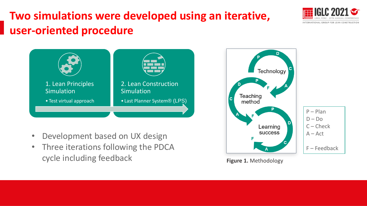# **Two simulations were developed using an iterative, user-oriented procedure**





- Development based on UX design
- Three iterations following the PDCA cycle including feedback **Figure 1.** Methodology



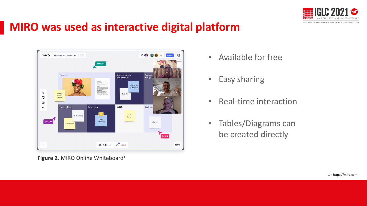

## **MIRO was used as interactive digital platform**



Figure 2. MIRO Online Whiteboard<sup>1</sup>

- Available for free
- Easy sharing
- Real-time interaction
- Tables/Diagrams can be created directly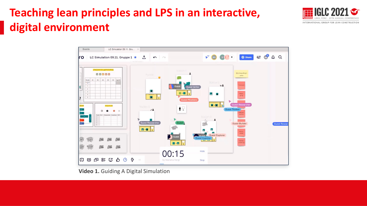# **Teaching lean principles and LPS in an interactive, digital environment**





**Video 1.** Guiding A Digital Simulation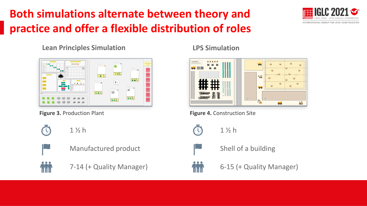# **Both simulations alternate between theory and practice and offer a flexible distribution of roles**



#### **Lean Principles Simulation**





1 ½ h







### 7-14 (+ Quality Manager)

**LPS Simulation**



**Figure 3.** Production Plant **Figure 4.** Construction Site



1 ½ h



Shell of a building

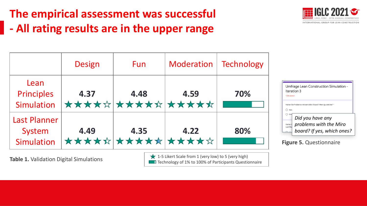# **The empirical assessment was successful - All rating results are in the upper range**



|                                             | <b>Design</b> | <b>Fun</b>                     | Moderation | Technology |
|---------------------------------------------|---------------|--------------------------------|------------|------------|
| Lean<br><b>Principles</b><br>Simulation     | 4.37          | 4.48<br><b>***************</b> | 4.59       | 70%        |
| <b>Last Planner</b><br>System<br>Simulation | 4.49          | 4.35<br>***************        | 4.22       | 80%        |

| Umfrage Lean Construction Simulation -<br>Iteration 3<br>* Erforderlich                                             |  |
|---------------------------------------------------------------------------------------------------------------------|--|
| Hatten Sie Probleme mit dem Miro-Board? Wenn ja, welche? *<br>Nein                                                  |  |
| Son<br>Did you have any<br>problems with the Miro<br><b>Hatten</b><br><b>Last Pla</b><br>board? If yes, which ones? |  |

**Figure 5.** Questionnaire

**Table 1.** Validation Digital Simulations 1-5 Likert Scale from 1 (very low) to 5 (very high)  $\blacksquare$  Technology of 1% to 100% of Participants Questionnaire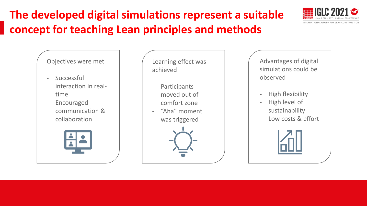# **The developed digital simulations represent a suitable concept for teaching Lean principles and methods**

#### Objectives were met

- Successful interaction in realtime
- Encouraged communication & collaboration



Learning effect was achieved

- **Participants** moved out of comfort zone
- "Aha" moment was triggered

Advantages of digital simulations could be observed

- High flexibility
- High level of sustainability
- Low costs & effort